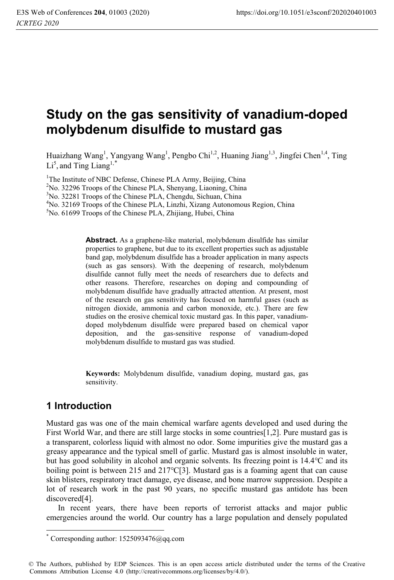# **Study on the gas sensitivity of vanadium-doped molybdenum disulfide to mustard gas**

Huaizhang Wang<sup>1</sup>, Yangyang Wang<sup>1</sup>, Pengbo Chi<sup>1,2</sup>, Huaning Jiang<sup>1,3</sup>, Jingfei Chen<sup>1,4</sup>, Ting  $Li<sup>5</sup>$ , and Ting Liang<sup>1,\*</sup>

<sup>1</sup>The Institute of NBC Defense, Chinese PLA Army, Beijing, China

2 No. 32296 Troops of the Chinese PLA, Shenyang, Liaoning, China

3 No. 32281 Troops of the Chinese PLA, Chengdu, Sichuan, China

 $^{4}$ No. 32169 Troops of the Chinese PLA, Linzhi, Xizang Autonomous Region, China  $^{5}$ No. 61699 Troops of the Chinese PLA, Zhijinng, Hubei, China

<sup>5</sup>No. 61699 Troops of the Chinese PLA, Zhijiang, Hubei, China

**Abstract.** As a graphene-like material, molybdenum disulfide has similar properties to graphene, but due to its excellent properties such as adjustable band gap, molybdenum disulfide has a broader application in many aspects (such as gas sensors). With the deepening of research, molybdenum disulfide cannot fully meet the needs of researchers due to defects and other reasons. Therefore, researches on doping and compounding of molybdenum disulfide have gradually attracted attention. At present, most of the research on gas sensitivity has focused on harmful gases (such as nitrogen dioxide, ammonia and carbon monoxide, etc.). There are few studies on the erosive chemical toxic mustard gas. In this paper, vanadiumdoped molybdenum disulfide were prepared based on chemical vapor deposition, and the gas-sensitive response of vanadium-doped molybdenum disulfide to mustard gas was studied.

**Keywords:** Molybdenum disulfide, vanadium doping, mustard gas, gas sensitivity.

## **1 Introduction**

Mustard gas was one of the main chemical warfare agents developed and used during the First World War, and there are still large stocks in some countries[1,2]. Pure mustard gas is a transparent, colorless liquid with almost no odor. Some impurities give the mustard gas a greasy appearance and the typical smell of garlic. Mustard gas is almost insoluble in water, but has good solubility in alcohol and organic solvents. Its freezing point is  $14.4^{\circ}$ C and its boiling point is between 215 and  $217^{\circ}C[3]$ . Mustard gas is a foaming agent that can cause skin blisters, respiratory tract damage, eye disease, and bone marrow suppression. Despite a lot of research work in the past 90 years, no specific mustard gas antidote has been discovered[4].

In recent years, there have been reports of terrorist attacks and major public emergencies around the world. Our country has a large population and densely populated

 \* Corresponding author: 1525093476@qq.com

<sup>©</sup> The Authors, published by EDP Sciences. This is an open access article distributed under the terms of the Creative Commons Attribution License 4.0 (http://creativecommons.org/licenses/by/4.0/).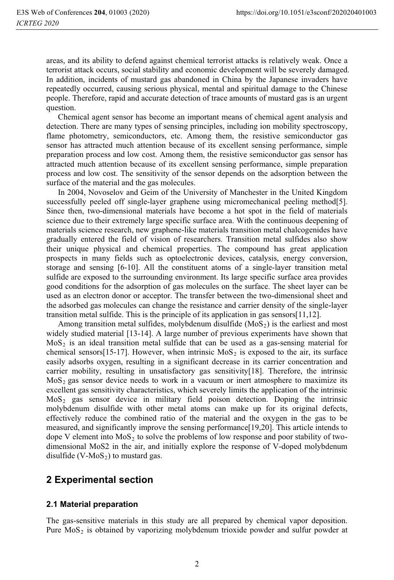areas, and its ability to defend against chemical terrorist attacks is relatively weak. Once a terrorist attack occurs, social stability and economic development will be severely damaged. In addition, incidents of mustard gas abandoned in China by the Japanese invaders have repeatedly occurred, causing serious physical, mental and spiritual damage to the Chinese people. Therefore, rapid and accurate detection of trace amounts of mustard gas is an urgent question.

Chemical agent sensor has become an important means of chemical agent analysis and detection. There are many types of sensing principles, including ion mobility spectroscopy, flame photometry, semiconductors, etc. Among them, the resistive semiconductor gas sensor has attracted much attention because of its excellent sensing performance, simple preparation process and low cost. Among them, the resistive semiconductor gas sensor has attracted much attention because of its excellent sensing performance, simple preparation process and low cost. The sensitivity of the sensor depends on the adsorption between the surface of the material and the gas molecules.

In 2004, Novoselov and Geim of the University of Manchester in the United Kingdom successfully peeled off single-layer graphene using micromechanical peeling method[5]. Since then, two-dimensional materials have become a hot spot in the field of materials science due to their extremely large specific surface area. With the continuous deepening of materials science research, new graphene-like materials transition metal chalcogenides have gradually entered the field of vision of researchers. Transition metal sulfides also show their unique physical and chemical properties. The compound has great application prospects in many fields such as optoelectronic devices, catalysis, energy conversion, storage and sensing [6-10]. All the constituent atoms of a single-layer transition metal sulfide are exposed to the surrounding environment. Its large specific surface area provides good conditions for the adsorption of gas molecules on the surface. The sheet layer can be used as an electron donor or acceptor. The transfer between the two-dimensional sheet and the adsorbed gas molecules can change the resistance and carrier density of the single-layer transition metal sulfide. This is the principle of its application in gas sensors[11,12].

Among transition metal sulfides, molybdenum disulfide  $(MoS<sub>2</sub>)$  is the earliest and most widely studied material [13-14]. A large number of previous experiments have shown that  $MoS<sub>2</sub>$  is an ideal transition metal sulfide that can be used as a gas-sensing material for chemical sensors [15-17]. However, when intrinsic  $MoS<sub>2</sub>$  is exposed to the air, its surface easily adsorbs oxygen, resulting in a significant decrease in its carrier concentration and carrier mobility, resulting in unsatisfactory gas sensitivity[18]. Therefore, the intrinsic  $M$ <sub>2</sub> gas sensor device needs to work in a vacuum or inert atmosphere to maximize its excellent gas sensitivity characteristics, which severely limits the application of the intrinsic  $MoS<sub>2</sub>$  gas sensor device in military field poison detection. Doping the intrinsic molybdenum disulfide with other metal atoms can make up for its original defects, effectively reduce the combined ratio of the material and the oxygen in the gas to be measured, and significantly improve the sensing performance[19,20]. This article intends to dope V element into  $MoS<sub>2</sub>$  to solve the problems of low response and poor stability of twodimensional MoS2 in the air, and initially explore the response of V-doped molybdenum disulfide  $(V-MoS<sub>2</sub>)$  to mustard gas.

### **2 Experimental section**

#### **2.1 Material preparation**

The gas-sensitive materials in this study are all prepared by chemical vapor deposition. Pure  $MoS<sub>2</sub>$  is obtained by vaporizing molybdenum trioxide powder and sulfur powder at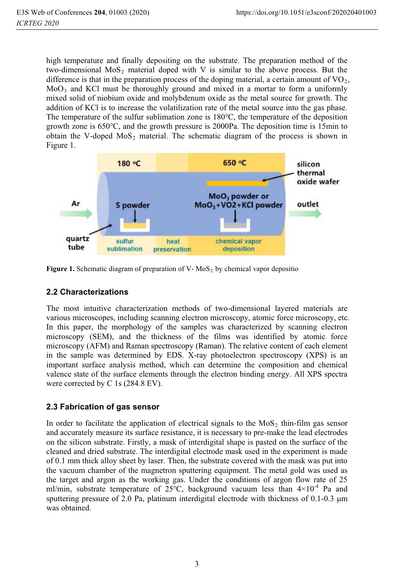high temperature and finally depositing on the substrate. The preparation method of the two-dimensional  $MoS<sub>2</sub>$  material doped with V is similar to the above process. But the difference is that in the preparation process of the doping material, a certain amount of  $\rm VO_2$ ,  $MoO<sub>3</sub>$  and KCl must be thoroughly ground and mixed in a mortar to form a uniformly mixed solid of niobium oxide and molybdenum oxide as the metal source for growth. The addition of KCl is to increase the volatilization rate of the metal source into the gas phase. The temperature of the sulfur sublimation zone is  $180^{\circ}$ C, the temperature of the deposition growth zone is  $650^{\circ}$ C, and the growth pressure is 2000Pa. The deposition time is 15min to obtain the V-doped  $MoS<sub>2</sub>$  material. The schematic diagram of the process is shown in Figure 1.



Figure 1. Schematic diagram of preparation of V- MoS<sub>2</sub> by chemical vapor depositio

#### **2.2 Characterizations**

The most intuitive characterization methods of two-dimensional layered materials are various microscopes, including scanning electron microscopy, atomic force microscopy, etc. In this paper, the morphology of the samples was characterized by scanning electron microscopy (SEM), and the thickness of the films was identified by atomic force microscopy (AFM) and Raman spectroscopy (Raman). The relative content of each element in the sample was determined by EDS. X-ray photoelectron spectroscopy (XPS) is an important surface analysis method, which can determine the composition and chemical valence state of the surface elements through the electron binding energy. All XPS spectra were corrected by C 1s (284.8 EV).

#### **2.3 Fabrication of gas sensor**

In order to facilitate the application of electrical signals to the  $MoS<sub>2</sub>$  thin-film gas sensor and accurately measure its surface resistance, it is necessary to pre-make the lead electrodes on the silicon substrate. Firstly, a mask of interdigital shape is pasted on the surface of the cleaned and dried substrate. The interdigital electrode mask used in the experiment is made of 0.1 mm thick alloy sheet by laser. Then, the substrate covered with the mask was put into the vacuum chamber of the magnetron sputtering equipment. The metal gold was used as the target and argon as the working gas. Under the conditions of argon flow rate of 25 ml/min, substrate temperature of  $25^{\circ}$ C, background vacuum less than  $4\times10^{-4}$  Pa and sputtering pressure of 2.0 Pa, platinum interdigital electrode with thickness of  $0.1$ - $0.3 \mu m$ was obtained.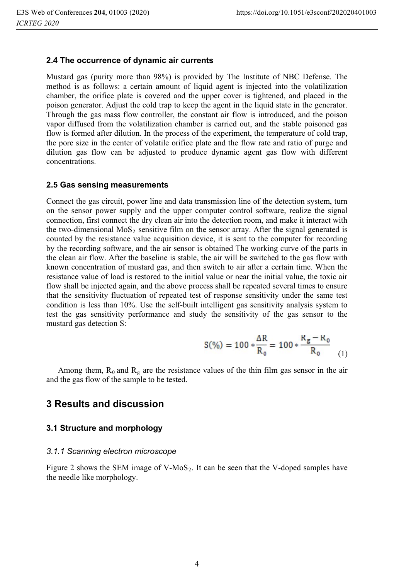#### **2.4 The occurrence of dynamic air currents**

Mustard gas (purity more than 98%) is provided by The Institute of NBC Defense. The method is as follows: a certain amount of liquid agent is injected into the volatilization chamber, the orifice plate is covered and the upper cover is tightened, and placed in the poison generator. Adjust the cold trap to keep the agent in the liquid state in the generator. Through the gas mass flow controller, the constant air flow is introduced, and the poison vapor diffused from the volatilization chamber is carried out, and the stable poisoned gas flow is formed after dilution. In the process of the experiment, the temperature of cold trap, the pore size in the center of volatile orifice plate and the flow rate and ratio of purge and dilution gas flow can be adjusted to produce dynamic agent gas flow with different concentrations.

#### **2.5 Gas sensing measurements**

Connect the gas circuit, power line and data transmission line of the detection system, turn on the sensor power supply and the upper computer control software, realize the signal connection, first connect the dry clean air into the detection room, and make it interact with the two-dimensional MoS<sub>2</sub> sensitive film on the sensor array. After the signal generated is counted by the resistance value acquisition device, it is sent to the computer for recording by the recording software, and the air sensor is obtained The working curve of the parts in the clean air flow. After the baseline is stable, the air will be switched to the gas flow with known concentration of mustard gas, and then switch to air after a certain time. When the resistance value of load is restored to the initial value or near the initial value, the toxic air flow shall be injected again, and the above process shall be repeated several times to ensure that the sensitivity fluctuation of repeated test of response sensitivity under the same test condition is less than 10%. Use the self-built intelligent gas sensitivity analysis system to test the gas sensitivity performance and study the sensitivity of the gas sensor to the mustard gas detection S:

$$
S(\%) = 100 * \frac{\Delta R}{R_0} = 100 * \frac{R_g - R_0}{R_0}
$$
 (1)

Among them,  $R_0$  and  $R_g$  are the resistance values of the thin film gas sensor in the air and the gas flow of the sample to be tested.

### **3 Results and discussion**

#### **3.1 Structure and morphology**

#### *3.1.1 Scanning electron microscope*

Figure 2 shows the SEM image of V-MoS<sub>2</sub>. It can be seen that the V-doped samples have the needle like morphology.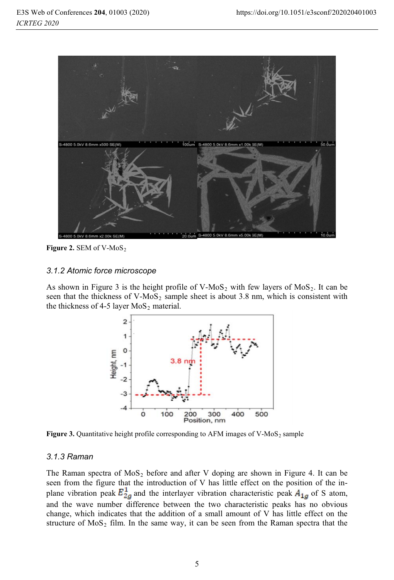

Figure 2. SEM of V-MoS<sub>2</sub>

#### *3.1.2 Atomic force microscope*

As shown in Figure 3 is the height profile of V-MoS<sub>2</sub> with few layers of MoS<sub>2</sub>. It can be seen that the thickness of V-MoS<sub>2</sub> sample sheet is about 3.8 nm, which is consistent with the thickness of 4-5 layer  $MoS<sub>2</sub>$  material.



**Figure 3.** Quantitative height profile corresponding to AFM images of V-MoS<sub>2</sub> sample

#### *3.1.3 Raman*

The Raman spectra of  $MoS<sub>2</sub>$  before and after V doping are shown in Figure 4. It can be seen from the figure that the introduction of V has little effect on the position of the inplane vibration peak  $E_{2g}^1$  and the interlayer vibration characteristic peak  $A_{1g}$  of S atom, and the wave number difference between the two characteristic peaks has no obvious change, which indicates that the addition of a small amount of V has little effect on the structure of  $MoS<sub>2</sub>$  film. In the same way, it can be seen from the Raman spectra that the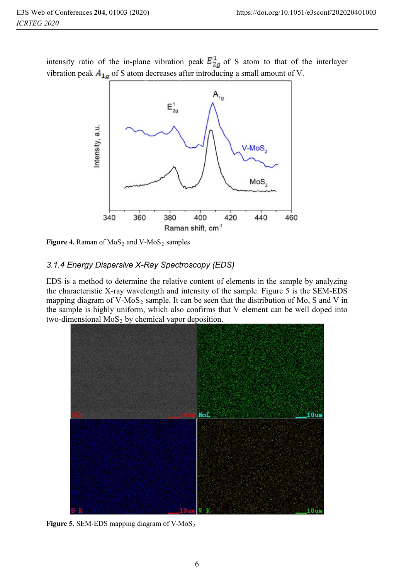intensity ratio of the in-plane vibration peak  $E_{2a}^{1}$  of S atom to that of the interlayer vibration peak  $A_{1a}$  of S atom decreases after introducing a small amount of V.



**Figure 4.** Raman of  $MoS<sub>2</sub>$  and  $V-MoS<sub>2</sub>$  samples

### *3.1.4 Energy Dispersive X-Ray Spectroscopy (EDS)*

EDS is a method to determine the relative content of elements in the sample by analyzing the characteristic X-ray wavelength and intensity of the sample. Figure 5 is the SEM-EDS mapping diagram of V-MoS<sub>2</sub> sample. It can be seen that the distribution of Mo, S and V in the sample is highly uniform, which also confirms that V element can be well doped into two-dimensional  $MoS<sub>2</sub>$  by chemical vapor deposition.



**Figure 5.** SEM-EDS mapping diagram of V-MoS<sub>2</sub>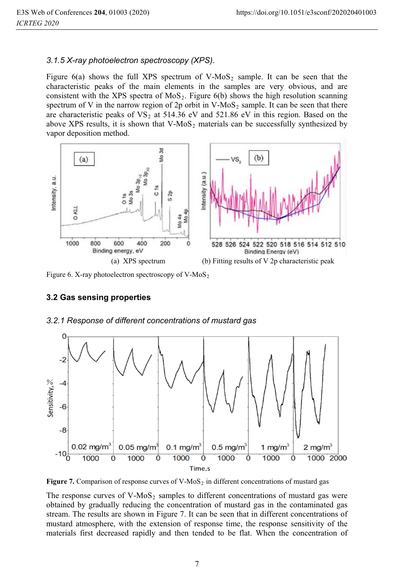#### *3.1.5 X-ray photoelectron spectroscopy (XPS).*

Figure 6(a) shows the full XPS spectrum of  $V-MoS<sub>2</sub>$  sample. It can be seen that the characteristic peaks of the main elements in the samples are very obvious, and are consistent with the XPS spectra of  $MoS<sub>2</sub>$ . Figure 6(b) shows the high resolution scanning spectrum of V in the narrow region of 2p orbit in V-MoS<sub>2</sub> sample. It can be seen that there are characteristic peaks of  $VS<sub>2</sub>$  at 514.36 eV and 521.86 eV in this region. Based on the above XPS results, it is shown that  $V-MoS<sub>2</sub>$  materials can be successfully synthesized by vapor deposition method.



Figure 6. X-ray photoelectron spectroscopy of  $V-MoS<sub>2</sub>$ 

#### **3.2 Gas sensing properties**



*3.2.1 Response of different concentrations of mustard gas*

**Figure 7.** Comparison of response curves of V-MoS<sub>2</sub> in different concentrations of mustard gas

The response curves of  $V-MoS<sub>2</sub>$  samples to different concentrations of mustard gas were obtained by gradually reducing the concentration of mustard gas in the contaminated gas stream. The results are shown in Figure 7. It can be seen that in different concentrations of mustard atmosphere, with the extension of response time, the response sensitivity of the materials first decreased rapidly and then tended to be flat. When the concentration of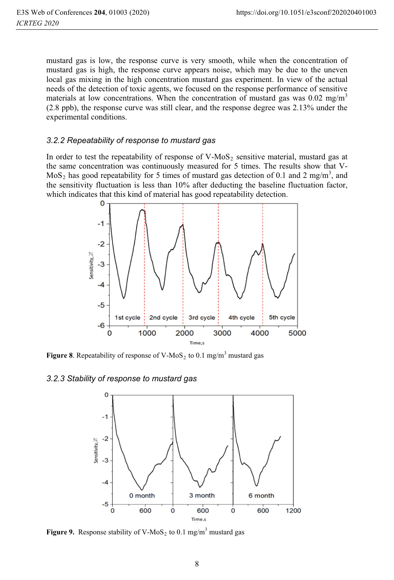mustard gas is low, the response curve is very smooth, while when the concentration of mustard gas is high, the response curve appears noise, which may be due to the uneven local gas mixing in the high concentration mustard gas experiment. In view of the actual needs of the detection of toxic agents, we focused on the response performance of sensitive materials at low concentrations. When the concentration of mustard gas was  $0.02 \text{ mg/m}^3$ (2.8 ppb), the response curve was still clear, and the response degree was 2.13% under the experimental conditions.

#### *3.2.2 Repeatability of response to mustard gas*

In order to test the repeatability of response of  $V-MoS<sub>2</sub>$  sensitive material, mustard gas at the same concentration was continuously measured for 5 times. The results show that V-MoS<sub>2</sub> has good repeatability for 5 times of mustard gas detection of 0.1 and 2 mg/m<sup>3</sup>, and the sensitivity fluctuation is less than 10% after deducting the baseline fluctuation factor, which indicates that this kind of material has good repeatability detection.



**Figure 8**. Repeatability of response of V-MoS<sub>2</sub> to 0.1 mg/m<sup>3</sup> mustard gas

#### *3.2.3 Stability of response to mustard gas*



**Figure 9.** Response stability of V-MoS<sub>2</sub> to 0.1 mg/m<sup>3</sup> mustard gas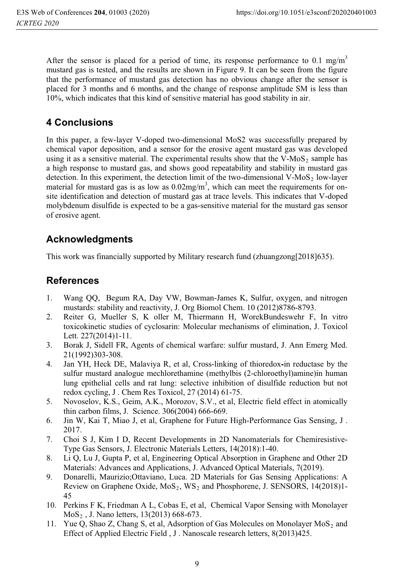After the sensor is placed for a period of time, its response performance to 0.1 mg/m<sup>3</sup> mustard gas is tested, and the results are shown in Figure 9. It can be seen from the figure that the performance of mustard gas detection has no obvious change after the sensor is placed for 3 months and 6 months, and the change of response amplitude SM is less than 10%, which indicates that this kind of sensitive material has good stability in air.

# **4 Conclusions**

In this paper, a few-layer V-doped two-dimensional MoS2 was successfully prepared by chemical vapor deposition, and a sensor for the erosive agent mustard gas was developed using it as a sensitive material. The experimental results show that the V-MoS<sub>2</sub> sample has a high response to mustard gas, and shows good repeatability and stability in mustard gas detection. In this experiment, the detection limit of the two-dimensional V-MoS<sub>2</sub> low-layer material for mustard gas is as low as  $0.02 \text{mg/m}^3$ , which can meet the requirements for onsite identification and detection of mustard gas at trace levels. This indicates that V-doped molybdenum disulfide is expected to be a gas-sensitive material for the mustard gas sensor of erosive agent.

# **Acknowledgments**

This work was financially supported by Military research fund (zhuangzong[2018]635).

## **References**

- 1. Wang QQ, Begum RA, Day VW, Bowman-James K, Sulfur, oxygen, and nitrogen mustards: stability and reactivity, J. Org Biomol Chem. 10 (2012)8786-8793.
- 2. Reiter G, Mueller S, K oller M, Thiermann H, WorekBundeswehr F, In vitro toxicokinetic studies of cyclosarin: Molecular mechanisms of elimination, J. Toxicol Lett. 227(2014)1-11.
- 3. Borak J, Sidell FR, Agents of chemical warfare: sulfur mustard, J. Ann Emerg Med. 21(1992)303-308.
- 4. Jan YH, Heck DE, Malaviya R, et al, Cross-linking of thioredox-in reductase by the sulfur mustard analogue mechlorethamine (methylbis (2-chloroethyl)amine)in human lung epithelial cells and rat lung: selective inhibition of disulfide reduction but not redox cycling, J . Chem Res Toxicol, 27 (2014) 61-75.
- 5. Novoselov, K.S., Geim, A.K., Morozov, S.V., et al, Electric field effect in atomically thin carbon films, J. Science. 306(2004) 666-669.
- 6. Jin W, Kai T, Miao J, et al, Graphene for Future High-Performance Gas Sensing, J . 2017.
- 7. Choi S J, Kim I D, Recent Developments in 2D Nanomaterials for Chemiresistive-Type Gas Sensors, J. Electronic Materials Letters, 14(2018):1-40.
- 8. Li Q, Lu J, Gupta P, et al, Engineering Optical Absorption in Graphene and Other 2D Materials: Advances and Applications, J. Advanced Optical Materials, 7(2019).
- 9. Donarelli, Maurizio;Ottaviano, Luca. 2D Materials for Gas Sensing Applications: A Review on Graphene Oxide,  $MoS<sub>2</sub>$ ,  $WS<sub>2</sub>$  and Phosphorene, J. SENSORS, 14(2018)1-45
- 10. Perkins F K, Friedman A L, Cobas E, et al, Chemical Vapor Sensing with Monolayer MoS2 , J. Nano letters, 13(2013) 668-673.
- 11. Yue Q, Shao Z, Chang S, et al, Adsorption of Gas Molecules on Monolayer  $MOS<sub>2</sub>$  and Effect of Applied Electric Field , J . Nanoscale research letters, 8(2013)425.